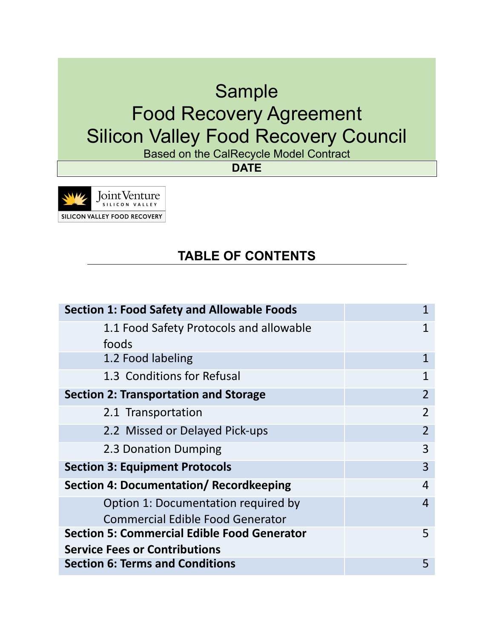# Sample Food Recovery Agreement Silicon Valley Food Recovery Council

Based on the CalRecycle Model Contract

**DATE**

Joint Venture SILICON VALLEY FOOD RECOVERY

# **TABLE OF CONTENTS**

| <b>Section 1: Food Safety and Allowable Foods</b>  |                |
|----------------------------------------------------|----------------|
| 1.1 Food Safety Protocols and allowable            |                |
| foods                                              |                |
| 1.2 Food labeling                                  | 1              |
| 1.3 Conditions for Refusal                         | $\mathbf 1$    |
| Section 2: Transportation and Storage              | $\mathcal{P}$  |
| 2.1 Transportation                                 | $\mathfrak{D}$ |
| 2.2 Missed or Delayed Pick-ups                     | $\mathfrak{D}$ |
| 2.3 Donation Dumping                               | 3              |
| <b>Section 3: Equipment Protocols</b>              | 3              |
| Section 4: Documentation/ Recordkeeping            | 4              |
| Option 1: Documentation required by                | 4              |
| <b>Commercial Edible Food Generator</b>            |                |
| <b>Section 5: Commercial Edible Food Generator</b> | 5              |
| <b>Service Fees or Contributions</b>               |                |
| <b>Section 6: Terms and Conditions</b>             | 5              |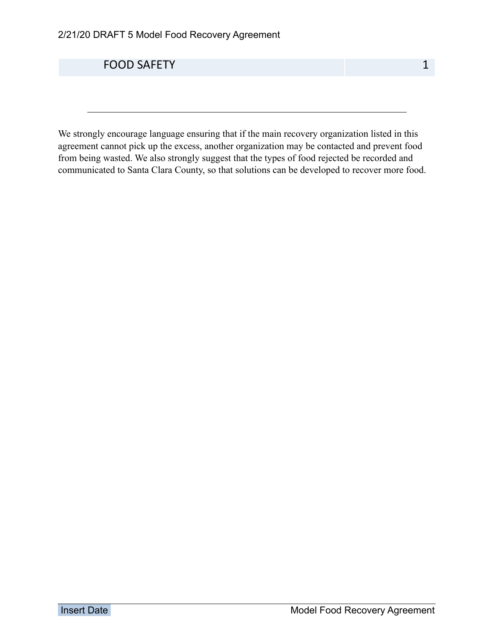**FOOD SAFETY** 1

We strongly encourage language ensuring that if the main recovery organization listed in this agreement cannot pick up the excess, another organization may be contacted and prevent food from being wasted. We also strongly suggest that the types of food rejected be recorded and communicated to Santa Clara County, so that solutions can be developed to recover more food.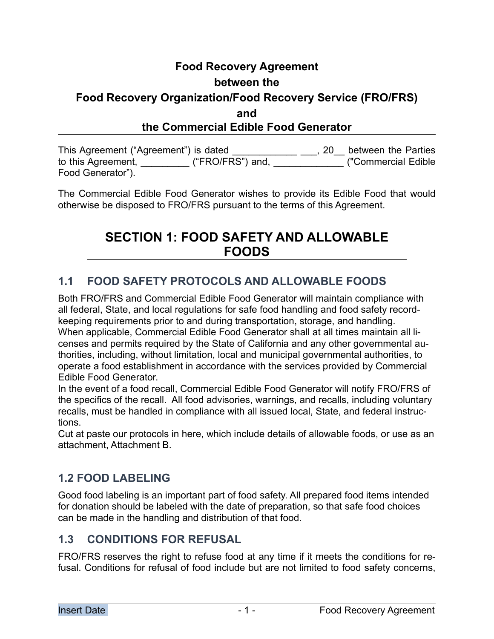# **Food Recovery Agreement between the Food Recovery Organization/Food Recovery Service (FRO/FRS) and the Commercial Edible Food Generator**

This Agreement ("Agreement") is dated \_\_\_\_\_\_\_\_\_\_\_\_\_\_\_\_\_, 20\_\_ between the Parties to this Agreement, \_\_\_\_\_\_\_\_\_ ("FRO/FRS") and, \_\_\_\_\_\_\_\_\_\_\_\_\_ ("Commercial Edible Food Generator").

The Commercial Edible Food Generator wishes to provide its Edible Food that would otherwise be disposed to FRO/FRS pursuant to the terms of this Agreement.

# **SECTION 1: FOOD SAFETY AND ALLOWABLE FOODS**

### **1.1 FOOD SAFETY PROTOCOLS AND ALLOWABLE FOODS**

Both FRO/FRS and Commercial Edible Food Generator will maintain compliance with all federal, State, and local regulations for safe food handling and food safety recordkeeping requirements prior to and during transportation, storage, and handling. When applicable, Commercial Edible Food Generator shall at all times maintain all licenses and permits required by the State of California and any other governmental authorities, including, without limitation, local and municipal governmental authorities, to operate a food establishment in accordance with the services provided by Commercial Edible Food Generator.

In the event of a food recall, Commercial Edible Food Generator will notify FRO/FRS of the specifics of the recall. All food advisories, warnings, and recalls, including voluntary recalls, must be handled in compliance with all issued local, State, and federal instructions.

Cut at paste our protocols in here, which include details of allowable foods, or use as an attachment, Attachment B.

### **1.2 FOOD LABELING**

Good food labeling is an important part of food safety. All prepared food items intended for donation should be labeled with the date of preparation, so that safe food choices can be made in the handling and distribution of that food.

#### **1.3 CONDITIONS FOR REFUSAL**

FRO/FRS reserves the right to refuse food at any time if it meets the conditions for refusal. Conditions for refusal of food include but are not limited to food safety concerns,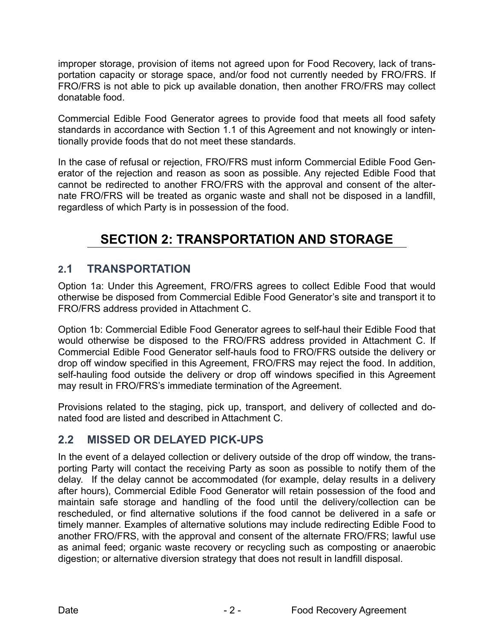improper storage, provision of items not agreed upon for Food Recovery, lack of transportation capacity or storage space, and/or food not currently needed by FRO/FRS. If FRO/FRS is not able to pick up available donation, then another FRO/FRS may collect donatable food.

Commercial Edible Food Generator agrees to provide food that meets all food safety standards in accordance with Section 1.1 of this Agreement and not knowingly or intentionally provide foods that do not meet these standards.

In the case of refusal or rejection, FRO/FRS must inform Commercial Edible Food Generator of the rejection and reason as soon as possible. Any rejected Edible Food that cannot be redirected to another FRO/FRS with the approval and consent of the alternate FRO/FRS will be treated as organic waste and shall not be disposed in a landfill, regardless of which Party is in possession of the food.

# **SECTION 2: TRANSPORTATION AND STORAGE**

### **2.1 TRANSPORTATION**

Option 1a: Under this Agreement, FRO/FRS agrees to collect Edible Food that would otherwise be disposed from Commercial Edible Food Generator's site and transport it to FRO/FRS address provided in Attachment C.

Option 1b: Commercial Edible Food Generator agrees to self-haul their Edible Food that would otherwise be disposed to the FRO/FRS address provided in Attachment C. If Commercial Edible Food Generator self-hauls food to FRO/FRS outside the delivery or drop off window specified in this Agreement, FRO/FRS may reject the food. In addition, self-hauling food outside the delivery or drop off windows specified in this Agreement may result in FRO/FRS's immediate termination of the Agreement.

Provisions related to the staging, pick up, transport, and delivery of collected and donated food are listed and described in Attachment C.

### **2.2 MISSED OR DELAYED PICK-UPS**

In the event of a delayed collection or delivery outside of the drop off window, the transporting Party will contact the receiving Party as soon as possible to notify them of the delay. If the delay cannot be accommodated (for example, delay results in a delivery after hours), Commercial Edible Food Generator will retain possession of the food and maintain safe storage and handling of the food until the delivery/collection can be rescheduled, or find alternative solutions if the food cannot be delivered in a safe or timely manner. Examples of alternative solutions may include redirecting Edible Food to another FRO/FRS, with the approval and consent of the alternate FRO/FRS; lawful use as animal feed; organic waste recovery or recycling such as composting or anaerobic digestion; or alternative diversion strategy that does not result in landfill disposal.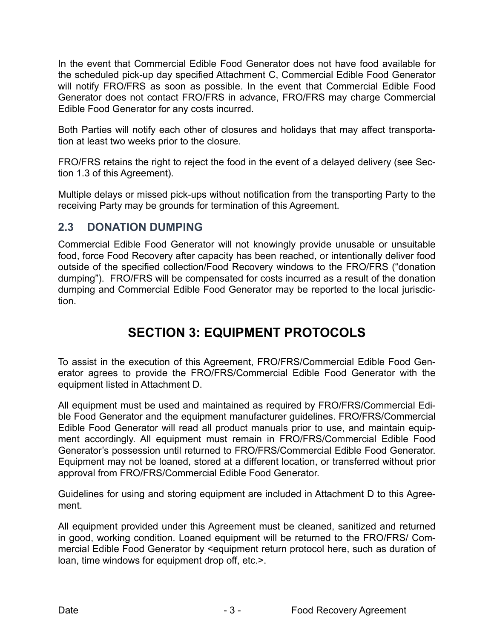In the event that Commercial Edible Food Generator does not have food available for the scheduled pick-up day specified Attachment C, Commercial Edible Food Generator will notify FRO/FRS as soon as possible. In the event that Commercial Edible Food Generator does not contact FRO/FRS in advance, FRO/FRS may charge Commercial Edible Food Generator for any costs incurred.

Both Parties will notify each other of closures and holidays that may affect transportation at least two weeks prior to the closure.

FRO/FRS retains the right to reject the food in the event of a delayed delivery (see Section 1.3 of this Agreement).

Multiple delays or missed pick-ups without notification from the transporting Party to the receiving Party may be grounds for termination of this Agreement.

#### **2.3 DONATION DUMPING**

Commercial Edible Food Generator will not knowingly provide unusable or unsuitable food, force Food Recovery after capacity has been reached, or intentionally deliver food outside of the specified collection/Food Recovery windows to the FRO/FRS ("donation dumping"). FRO/FRS will be compensated for costs incurred as a result of the donation dumping and Commercial Edible Food Generator may be reported to the local jurisdiction.

# **SECTION 3: EQUIPMENT PROTOCOLS**

To assist in the execution of this Agreement, FRO/FRS/Commercial Edible Food Generator agrees to provide the FRO/FRS/Commercial Edible Food Generator with the equipment listed in Attachment D.

All equipment must be used and maintained as required by FRO/FRS/Commercial Edible Food Generator and the equipment manufacturer guidelines. FRO/FRS/Commercial Edible Food Generator will read all product manuals prior to use, and maintain equipment accordingly. All equipment must remain in FRO/FRS/Commercial Edible Food Generator's possession until returned to FRO/FRS/Commercial Edible Food Generator. Equipment may not be loaned, stored at a different location, or transferred without prior approval from FRO/FRS/Commercial Edible Food Generator.

Guidelines for using and storing equipment are included in Attachment D to this Agreement.

All equipment provided under this Agreement must be cleaned, sanitized and returned in good, working condition. Loaned equipment will be returned to the FRO/FRS/ Commercial Edible Food Generator by <equipment return protocol here, such as duration of loan, time windows for equipment drop off, etc.>.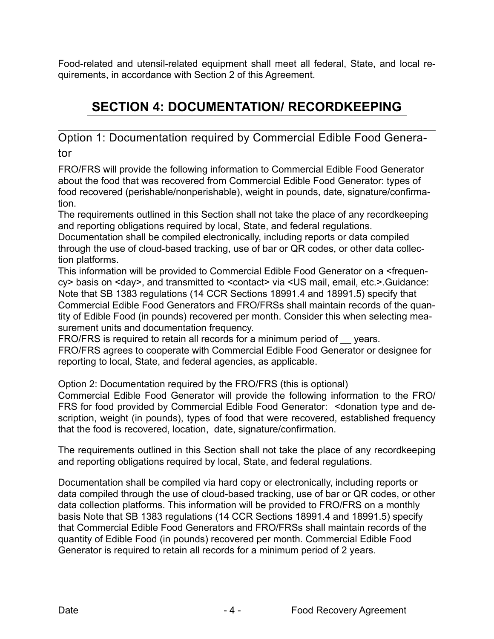Food-related and utensil-related equipment shall meet all federal, State, and local requirements, in accordance with Section 2 of this Agreement.

# **SECTION 4: DOCUMENTATION/ RECORDKEEPING**

Option 1: Documentation required by Commercial Edible Food Generator

FRO/FRS will provide the following information to Commercial Edible Food Generator about the food that was recovered from Commercial Edible Food Generator: types of food recovered (perishable/nonperishable), weight in pounds, date, signature/confirmation.

The requirements outlined in this Section shall not take the place of any recordkeeping and reporting obligations required by local, State, and federal regulations.

Documentation shall be compiled electronically, including reports or data compiled through the use of cloud-based tracking, use of bar or QR codes, or other data collection platforms.

This information will be provided to Commercial Edible Food Generator on a <frequency> basis on <day>, and transmitted to <contact> via <US mail, email, etc.>.Guidance: Note that SB 1383 regulations (14 CCR Sections 18991.4 and 18991.5) specify that Commercial Edible Food Generators and FRO/FRSs shall maintain records of the quantity of Edible Food (in pounds) recovered per month. Consider this when selecting measurement units and documentation frequency.

FRO/FRS is required to retain all records for a minimum period of years. FRO/FRS agrees to cooperate with Commercial Edible Food Generator or designee for reporting to local, State, and federal agencies, as applicable.

Option 2: Documentation required by the FRO/FRS (this is optional)

Commercial Edible Food Generator will provide the following information to the FRO/ FRS for food provided by Commercial Edible Food Generator: <donation type and description, weight (in pounds), types of food that were recovered, established frequency that the food is recovered, location, date, signature/confirmation.

The requirements outlined in this Section shall not take the place of any recordkeeping and reporting obligations required by local, State, and federal regulations.

Documentation shall be compiled via hard copy or electronically, including reports or data compiled through the use of cloud-based tracking, use of bar or QR codes, or other data collection platforms. This information will be provided to FRO/FRS on a monthly basis Note that SB 1383 regulations (14 CCR Sections 18991.4 and 18991.5) specify that Commercial Edible Food Generators and FRO/FRSs shall maintain records of the quantity of Edible Food (in pounds) recovered per month. Commercial Edible Food Generator is required to retain all records for a minimum period of 2 years.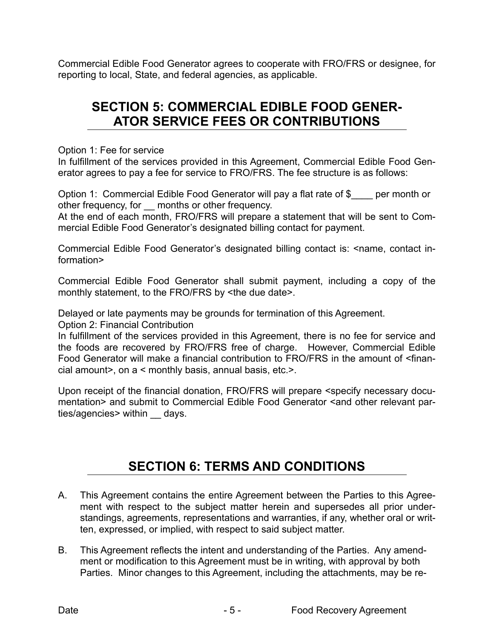Commercial Edible Food Generator agrees to cooperate with FRO/FRS or designee, for reporting to local, State, and federal agencies, as applicable.

# **SECTION 5: COMMERCIAL EDIBLE FOOD GENER-ATOR SERVICE FEES OR CONTRIBUTIONS**

Option 1: Fee for service

In fulfillment of the services provided in this Agreement, Commercial Edible Food Generator agrees to pay a fee for service to FRO/FRS. The fee structure is as follows:

Option 1: Commercial Edible Food Generator will pay a flat rate of \$ per month or other frequency, for months or other frequency.

At the end of each month, FRO/FRS will prepare a statement that will be sent to Commercial Edible Food Generator's designated billing contact for payment.

Commercial Edible Food Generator's designated billing contact is: <name, contact information>

Commercial Edible Food Generator shall submit payment, including a copy of the monthly statement, to the FRO/FRS by <the due date>.

Delayed or late payments may be grounds for termination of this Agreement. Option 2: Financial Contribution

In fulfillment of the services provided in this Agreement, there is no fee for service and the foods are recovered by FRO/FRS free of charge. However, Commercial Edible Food Generator will make a financial contribution to FRO/FRS in the amount of <financial amount>, on a < monthly basis, annual basis, etc.>.

Upon receipt of the financial donation, FRO/FRS will prepare <specify necessary documentation> and submit to Commercial Edible Food Generator <and other relevant parties/agencies> within days.

# **SECTION 6: TERMS AND CONDITIONS**

- A. This Agreement contains the entire Agreement between the Parties to this Agreement with respect to the subject matter herein and supersedes all prior understandings, agreements, representations and warranties, if any, whether oral or written, expressed, or implied, with respect to said subject matter.
- B. This Agreement reflects the intent and understanding of the Parties. Any amendment or modification to this Agreement must be in writing, with approval by both Parties. Minor changes to this Agreement, including the attachments, may be re-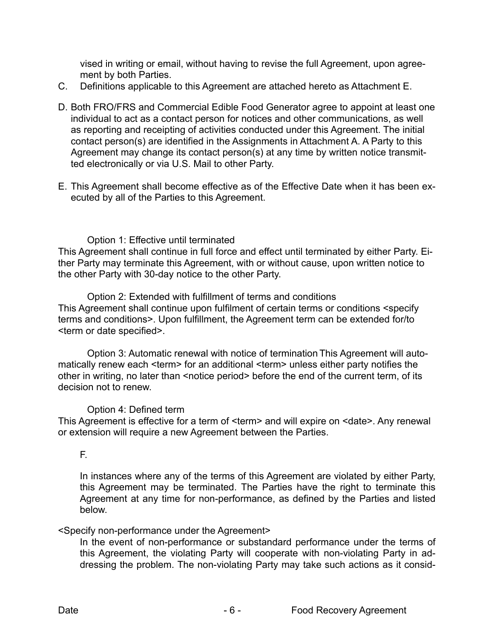vised in writing or email, without having to revise the full Agreement, upon agreement by both Parties.

- C. Definitions applicable to this Agreement are attached hereto as Attachment E.
- D. Both FRO/FRS and Commercial Edible Food Generator agree to appoint at least one individual to act as a contact person for notices and other communications, as well as reporting and receipting of activities conducted under this Agreement. The initial contact person(s) are identified in the Assignments in Attachment A. A Party to this Agreement may change its contact person(s) at any time by written notice transmitted electronically or via U.S. Mail to other Party.
- E. This Agreement shall become effective as of the Effective Date when it has been executed by all of the Parties to this Agreement.

#### Option 1: Effective until terminated

This Agreement shall continue in full force and effect until terminated by either Party. Either Party may terminate this Agreement, with or without cause, upon written notice to the other Party with 30-day notice to the other Party.

 Option 2: Extended with fulfillment of terms and conditions This Agreement shall continue upon fulfilment of certain terms or conditions <specify terms and conditions>. Upon fulfillment, the Agreement term can be extended for/to <term or date specified>.

 Option 3: Automatic renewal with notice of termination This Agreement will automatically renew each <term> for an additional <term> unless either party notifies the other in writing, no later than <notice period> before the end of the current term, of its decision not to renew.

#### Option 4: Defined term

This Agreement is effective for a term of <term> and will expire on <date>. Any renewal or extension will require a new Agreement between the Parties.

#### F.

In instances where any of the terms of this Agreement are violated by either Party, this Agreement may be terminated. The Parties have the right to terminate this Agreement at any time for non-performance, as defined by the Parties and listed below.

#### <Specify non-performance under the Agreement>

In the event of non-performance or substandard performance under the terms of this Agreement, the violating Party will cooperate with non-violating Party in addressing the problem. The non-violating Party may take such actions as it consid-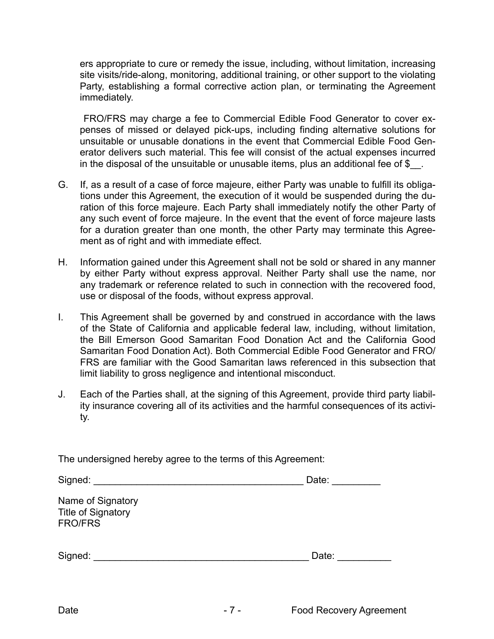ers appropriate to cure or remedy the issue, including, without limitation, increasing site visits/ride-along, monitoring, additional training, or other support to the violating Party, establishing a formal corrective action plan, or terminating the Agreement immediately.

 FRO/FRS may charge a fee to Commercial Edible Food Generator to cover expenses of missed or delayed pick-ups, including finding alternative solutions for unsuitable or unusable donations in the event that Commercial Edible Food Generator delivers such material. This fee will consist of the actual expenses incurred in the disposal of the unsuitable or unusable items, plus an additional fee of  $\frac{1}{2}$ .

- G. If, as a result of a case of force majeure, either Party was unable to fulfill its obligations under this Agreement, the execution of it would be suspended during the duration of this force majeure. Each Party shall immediately notify the other Party of any such event of force majeure. In the event that the event of force majeure lasts for a duration greater than one month, the other Party may terminate this Agreement as of right and with immediate effect.
- H. Information gained under this Agreement shall not be sold or shared in any manner by either Party without express approval. Neither Party shall use the name, nor any trademark or reference related to such in connection with the recovered food, use or disposal of the foods, without express approval.
- I. This Agreement shall be governed by and construed in accordance with the laws of the State of California and applicable federal law, including, without limitation, the Bill Emerson Good Samaritan Food Donation Act and the California Good Samaritan Food Donation Act). Both Commercial Edible Food Generator and FRO/ FRS are familiar with the Good Samaritan laws referenced in this subsection that limit liability to gross negligence and intentional misconduct.
- J. Each of the Parties shall, at the signing of this Agreement, provide third party liability insurance covering all of its activities and the harmful consequences of its activity.

| The undersigned hereby agree to the terms of this Agreement: |  |  |
|--------------------------------------------------------------|--|--|
|                                                              |  |  |

| Signed:                                                          | Date: |
|------------------------------------------------------------------|-------|
| Name of Signatory<br><b>Title of Signatory</b><br><b>FRO/FRS</b> |       |
| Signed:                                                          | Date: |
|                                                                  |       |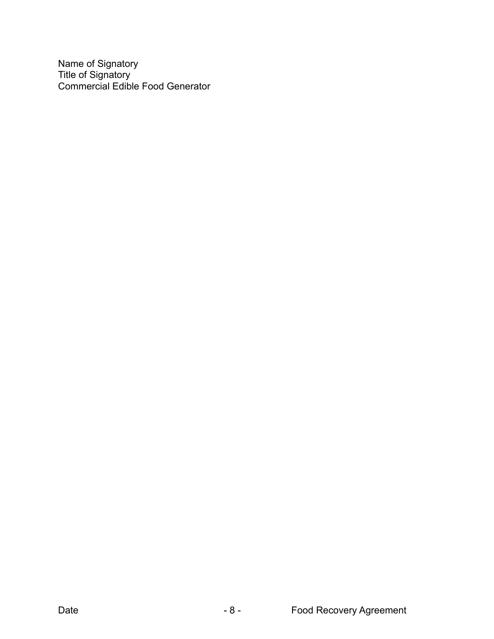Name of Signatory Title of Signatory Commercial Edible Food Generator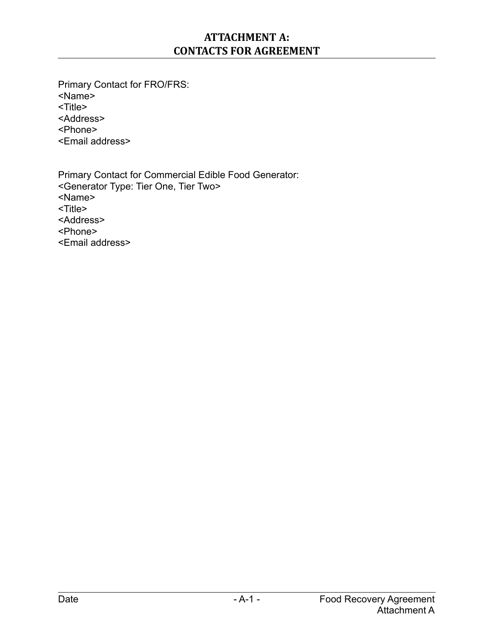### **ATTACHMENT A: CONTACTS FOR AGREEMENT**

Primary Contact for FRO/FRS: <Name> <Title> <Address> <Phone> <Email address>

Primary Contact for Commercial Edible Food Generator: <Generator Type: Tier One, Tier Two> <Name> <Title> <Address> <Phone> <Email address>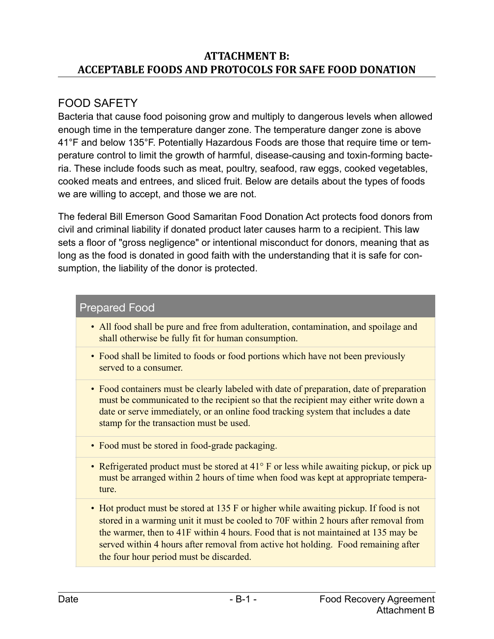### **ATTACHMENT B: ACCEPTABLE FOODS AND PROTOCOLS FOR SAFE FOOD DONATION**

# FOOD SAFETY

Bacteria that cause food poisoning grow and multiply to dangerous levels when allowed enough time in the temperature danger zone. The temperature danger zone is above 41°F and below 135°F. Potentially Hazardous Foods are those that require time or temperature control to limit the growth of harmful, disease-causing and toxin-forming bacteria. These include foods such as meat, poultry, seafood, raw eggs, cooked vegetables, cooked meats and entrees, and sliced fruit. Below are details about the types of foods we are willing to accept, and those we are not.

The federal Bill Emerson Good Samaritan Food Donation Act protects food donors from civil and criminal liability if donated product later causes harm to a recipient. This law sets a floor of "gross negligence" or intentional misconduct for donors, meaning that as long as the food is donated in good faith with the understanding that it is safe for consumption, the liability of the donor is protected.

### Prepared Food

- All food shall be pure and free from adulteration, contamination, and spoilage and shall otherwise be fully fit for human consumption.
- Food shall be limited to foods or food portions which have not been previously served to a consumer.
- Food containers must be clearly labeled with date of preparation, date of preparation must be communicated to the recipient so that the recipient may either write down a date or serve immediately, or an online food tracking system that includes a date stamp for the transaction must be used.
- Food must be stored in food-grade packaging.
- Refrigerated product must be stored at 41° F or less while awaiting pickup, or pick up must be arranged within 2 hours of time when food was kept at appropriate temperature.
- Hot product must be stored at 135 F or higher while awaiting pickup. If food is not stored in a warming unit it must be cooled to 70F within 2 hours after removal from the warmer, then to 41F within 4 hours. Food that is not maintained at 135 may be served within 4 hours after removal from active hot holding. Food remaining after the four hour period must be discarded.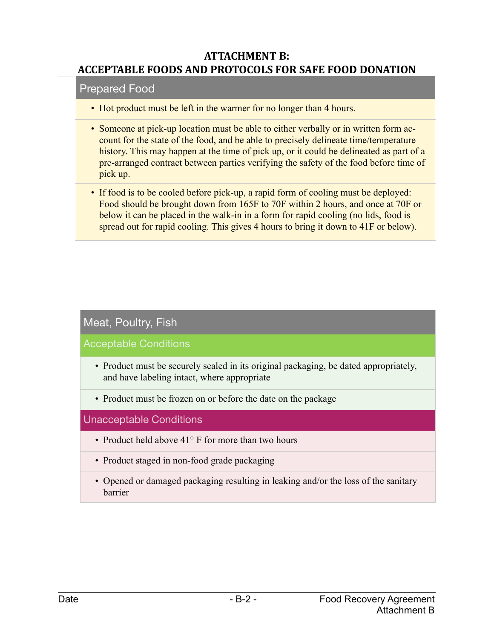#### **ATTACHMENT B: ACCEPTABLE FOODS AND PROTOCOLS FOR SAFE FOOD DONATION**

#### Prepared Food

- Hot product must be left in the warmer for no longer than 4 hours.
- Someone at pick-up location must be able to either verbally or in written form account for the state of the food, and be able to precisely delineate time/temperature history. This may happen at the time of pick up, or it could be delineated as part of a pre-arranged contract between parties verifying the safety of the food before time of pick up.
- If food is to be cooled before pick-up, a rapid form of cooling must be deployed: Food should be brought down from 165F to 70F within 2 hours, and once at 70F or below it can be placed in the walk-in in a form for rapid cooling (no lids, food is spread out for rapid cooling. This gives 4 hours to bring it down to 41F or below).

#### Meat, Poultry, Fish

Acceptable Conditions

- Product must be securely sealed in its original packaging, be dated appropriately, and have labeling intact, where appropriate
- Product must be frozen on or before the date on the package

#### Unacceptable Conditions

- Product held above 41° F for more than two hours
- Product staged in non-food grade packaging
- Opened or damaged packaging resulting in leaking and/or the loss of the sanitary barrier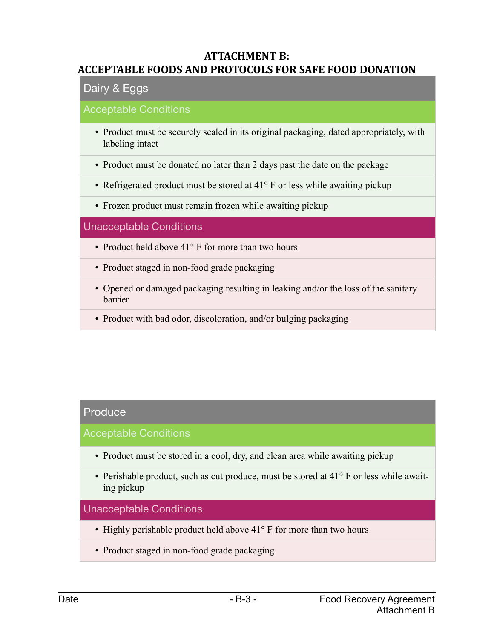#### **ATTACHMENT B: ACCEPTABLE FOODS AND PROTOCOLS FOR SAFE FOOD DONATION**

#### Dairy & Eggs

#### Acceptable Conditions

- Product must be securely sealed in its original packaging, dated appropriately, with labeling intact
- Product must be donated no later than 2 days past the date on the package
- Refrigerated product must be stored at 41° F or less while awaiting pickup
- Frozen product must remain frozen while awaiting pickup

#### Unacceptable Conditions

- Product held above 41° F for more than two hours
- Product staged in non-food grade packaging
- Opened or damaged packaging resulting in leaking and/or the loss of the sanitary barrier
- Product with bad odor, discoloration, and/or bulging packaging

### **Produce**

#### Acceptable Conditions

- Product must be stored in a cool, dry, and clean area while awaiting pickup
- Perishable product, such as cut produce, must be stored at 41° F or less while awaiting pickup

#### Unacceptable Conditions

- Highly perishable product held above 41° F for more than two hours
- Product staged in non-food grade packaging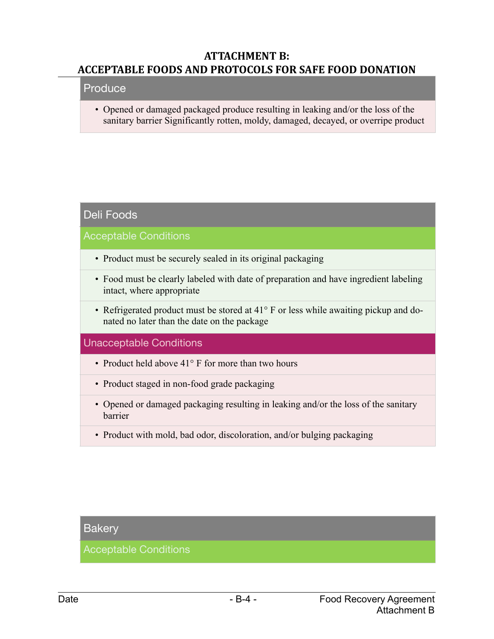#### **ATTACHMENT B: ACCEPTABLE FOODS AND PROTOCOLS FOR SAFE FOOD DONATION**

#### Produce

• Opened or damaged packaged produce resulting in leaking and/or the loss of the sanitary barrier Significantly rotten, moldy, damaged, decayed, or overripe product

#### Deli Foods

Acceptable Conditions

- Product must be securely sealed in its original packaging
- Food must be clearly labeled with date of preparation and have ingredient labeling intact, where appropriate
- Refrigerated product must be stored at 41° F or less while awaiting pickup and donated no later than the date on the package

#### Unacceptable Conditions

- Product held above 41° F for more than two hours
- Product staged in non-food grade packaging
- Opened or damaged packaging resulting in leaking and/or the loss of the sanitary barrier
- Product with mold, bad odor, discoloration, and/or bulging packaging

#### **Bakery**

Acceptable Conditions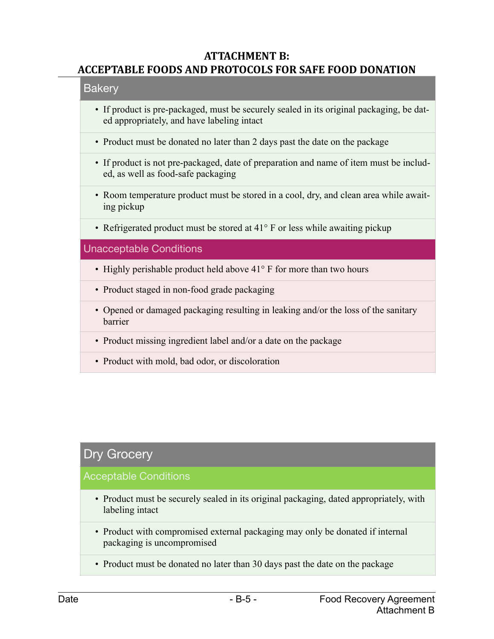#### **ATTACHMENT B: ACCEPTABLE FOODS AND PROTOCOLS FOR SAFE FOOD DONATION**

#### Bakery

- If product is pre-packaged, must be securely sealed in its original packaging, be dated appropriately, and have labeling intact
- Product must be donated no later than 2 days past the date on the package
- If product is not pre-packaged, date of preparation and name of item must be included, as well as food-safe packaging
- Room temperature product must be stored in a cool, dry, and clean area while awaiting pickup
- Refrigerated product must be stored at 41° F or less while awaiting pickup

#### Unacceptable Conditions

- Highly perishable product held above 41° F for more than two hours
- Product staged in non-food grade packaging
- Opened or damaged packaging resulting in leaking and/or the loss of the sanitary barrier
- Product missing ingredient label and/or a date on the package
- Product with mold, bad odor, or discoloration

### Dry Grocery

#### Acceptable Conditions

- Product must be securely sealed in its original packaging, dated appropriately, with labeling intact
- Product with compromised external packaging may only be donated if internal packaging is uncompromised
- Product must be donated no later than 30 days past the date on the package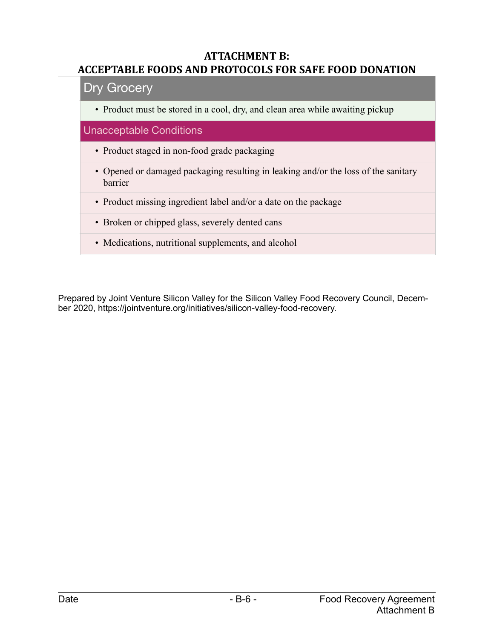#### **ATTACHMENT B: ACCEPTABLE FOODS AND PROTOCOLS FOR SAFE FOOD DONATION**

#### Dry Grocery

• Product must be stored in a cool, dry, and clean area while awaiting pickup

#### Unacceptable Conditions

- Product staged in non-food grade packaging
- Opened or damaged packaging resulting in leaking and/or the loss of the sanitary barrier
- Product missing ingredient label and/or a date on the package
- Broken or chipped glass, severely dented cans
- Medications, nutritional supplements, and alcohol

Prepared by Joint Venture Silicon Valley for the Silicon Valley Food Recovery Council, December 2020, https://jointventure.org/initiatives/silicon-valley-food-recovery.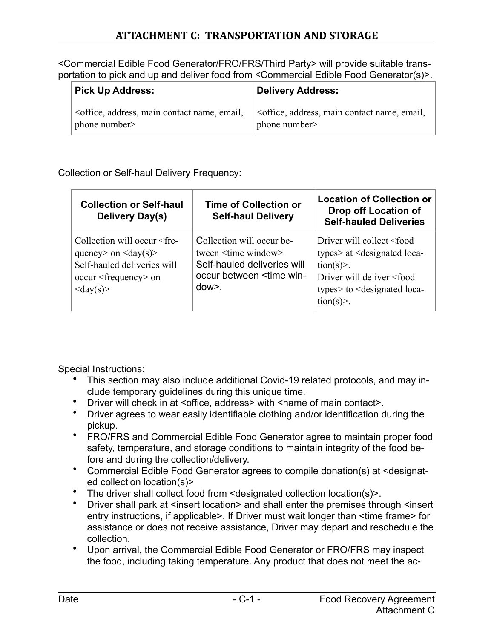<Commercial Edible Food Generator/FRO/FRS/Third Party> will provide suitable transportation to pick and up and deliver food from <Commercial Edible Food Generator(s)>.

| <b>Pick Up Address:</b>                                                                                                                                           | Delivery Address:                                                            |
|-------------------------------------------------------------------------------------------------------------------------------------------------------------------|------------------------------------------------------------------------------|
| <office, address,="" contact="" email,<="" main="" name,="" td=""><td><office, address,="" contact="" email,<="" main="" name,="" td=""></office,></td></office,> | <office, address,="" contact="" email,<="" main="" name,="" td=""></office,> |
| phone number                                                                                                                                                      | phone number>                                                                |

Collection or Self-haul Delivery Frequency:

| <b>Collection or Self-haul</b><br><b>Delivery Day(s)</b>                                                                                                                                                              | <b>Time of Collection or</b><br><b>Self-haul Delivery</b>                                                                                               | <b>Location of Collection or</b><br>Drop off Location of<br><b>Self-hauled Deliveries</b>                                                                                                                                                       |
|-----------------------------------------------------------------------------------------------------------------------------------------------------------------------------------------------------------------------|---------------------------------------------------------------------------------------------------------------------------------------------------------|-------------------------------------------------------------------------------------------------------------------------------------------------------------------------------------------------------------------------------------------------|
| Collection will occur <fre-<br>quency&gt; on <math>\langle \text{day}(s) \rangle</math><br/>Self-hauled deliveries will<br/>occur <frequency> on<br/><math>\langle \text{day}(s) \rangle</math></frequency></fre-<br> | Collection will occur be-<br>tween <time window=""><br/>Self-hauled deliveries will<br/>occur between <time win-<br=""><math>down</math>.</time></time> | Driver will collect <food<br>types&gt; at <designated loca-<br=""><math>\text{tion}(s)</math>.<br/>Driver will deliver <food<br>types&gt; to <designated loca-<br=""><math>\text{tion}(s)</math>.</designated></food<br></designated></food<br> |

Special Instructions:

- This section may also include additional Covid-19 related protocols, and may include temporary guidelines during this unique time.
- Driver will check in at <office, address> with <name of main contact>.
- Driver agrees to wear easily identifiable clothing and/or identification during the pickup.
- FRO/FRS and Commercial Edible Food Generator agree to maintain proper food safety, temperature, and storage conditions to maintain integrity of the food before and during the collection/delivery.
- Commercial Edible Food Generator agrees to compile donation(s) at <designated collection location(s)>
- The driver shall collect food from <designated collection location(s)>.
- Driver shall park at <insert location> and shall enter the premises through <insert entry instructions, if applicable>. If Driver must wait longer than <time frame> for assistance or does not receive assistance, Driver may depart and reschedule the collection.
- Upon arrival, the Commercial Edible Food Generator or FRO/FRS may inspect the food, including taking temperature. Any product that does not meet the ac-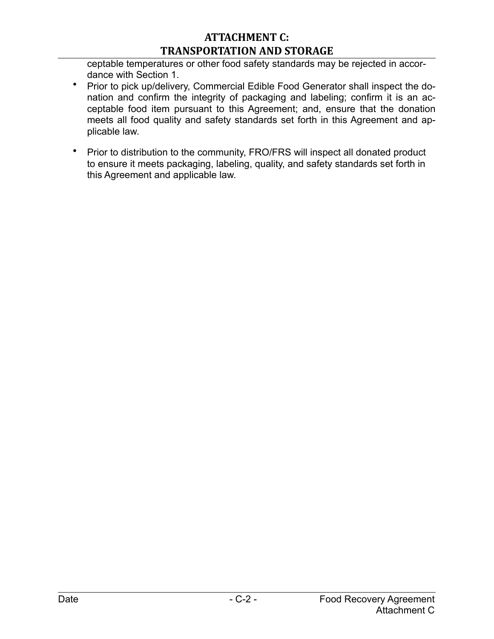### **ATTACHMENT C: TRANSPORTATION AND STORAGE**

ceptable temperatures or other food safety standards may be rejected in accordance with Section 1.

- Prior to pick up/delivery, Commercial Edible Food Generator shall inspect the donation and confirm the integrity of packaging and labeling; confirm it is an acceptable food item pursuant to this Agreement; and, ensure that the donation meets all food quality and safety standards set forth in this Agreement and applicable law.
- Prior to distribution to the community, FRO/FRS will inspect all donated product to ensure it meets packaging, labeling, quality, and safety standards set forth in this Agreement and applicable law.